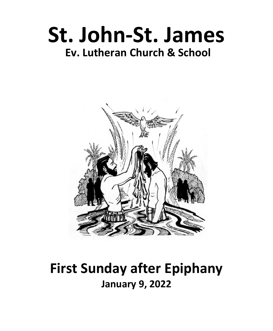# **St. John-St. James Ev. Lutheran Church & School**



# **First Sunday after Epiphany January 9, 2022**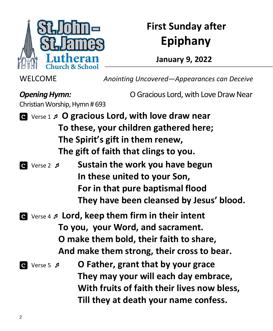

# **First Sunday after Epiphany**

**January 9, 2022** 

WELCOME *Anointing Uncovered—Appearances can Deceive*

**Opening Hymn: O** Gracious Lord, with Love Draw Near Christian Worship, Hymn # 693 Verse 1  **O gracious Lord, with love draw near To these, your children gathered here; The Spirit's gift in them renew, The gift of faith that clings to you.** Verse 2 **Sustain the work you have begun In these united to your Son, For in that pure baptismal flood They have been cleansed by Jesus' blood.** Verse 4  **Lord, keep them firm in their intent To you, your Word, and sacrament. O make them bold, their faith to share, And make them strong, their cross to bear.** Verse 5 **O Father, grant that by your grace They may your will each day embrace, With fruits of faith their lives now bless, Till they at death your name confess.**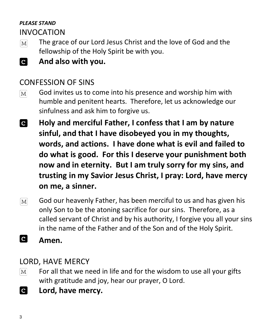#### *PLEASE STAND* INVOCATION

- The grace of our Lord Jesus Christ and the love of God and the  $\lceil \mathbf{M} \rceil$ fellowship of the Holy Spirit be with you.
- $\overline{c}$ **And also with you.**

# CONFESSION OF SINS

- God invites us to come into his presence and worship him with  $\boxed{\text{M}}$ humble and penitent hearts. Therefore, let us acknowledge our sinfulness and ask him to forgive us.
- **C Holy and merciful Father, I confess that I am by nature sinful, and that I have disobeyed you in my thoughts, words, and actions. I have done what is evil and failed to do what is good. For this I deserve your punishment both now and in eternity. But I am truly sorry for my sins, and trusting in my Savior Jesus Christ, I pray: Lord, have mercy on me, a sinner.**
- God our heavenly Father, has been merciful to us and has given his  $\lceil \text{M} \rceil$ only Son to be the atoning sacrifice for our sins. Therefore, as a called servant of Christ and by his authority, I forgive you all your sins in the name of the Father and of the Son and of the Holy Spirit.

**C Amen.**

### LORD, HAVE MERCY

- For all that we need in life and for the wisdom to use all your gifts  $\lceil \text{M} \rceil$ with gratitude and joy, hear our prayer, O Lord.
- $\overline{c}$ **Lord, have mercy.**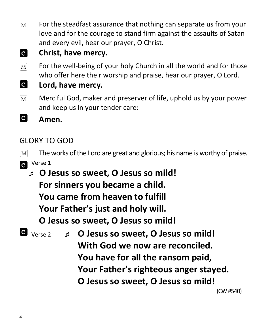- For the steadfast assurance that nothing can separate us from your  $\lceil \text{M} \rceil$ love and for the courage to stand firm against the assaults of Satan and every evil, hear our prayer, O Christ.
- **C Christ, have mercy.**
- For the well-being of your holy Church in all the world and for those  $\lceil \text{M} \rceil$ who offer here their worship and praise, hear our prayer, O Lord.

#### **C Lord, have mercy.**

Merciful God, maker and preserver of life, uphold us by your power  $\lceil \text{M} \rceil$ and keep us in your tender care:

**C Amen.**

# GLORY TO GOD

The works of the Lord are great and glorious; his name is worthy of praise.  $\lvert\mathrm{M}\rvert$ 

Verse 1

  **O Jesus so sweet, O Jesus so mild! For sinners you became a child. You came from heaven to fulfill Your Father's just and holy will. O Jesus so sweet, O Jesus so mild!**

 Verse 2  **O Jesus so sweet, O Jesus so mild! With God we now are reconciled. You have for all the ransom paid, Your Father's righteous anger stayed. O Jesus so sweet, O Jesus so mild!** (CW #540)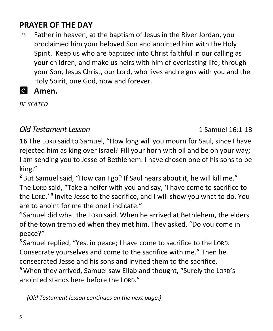# **PRAYER OF THE DAY**

Father in heaven, at the baptism of Jesus in the River Jordan, you  $M$ proclaimed him your beloved Son and anointed him with the Holy Spirit. Keep us who are baptized into Christ faithful in our calling as your children, and make us heirs with him of everlasting life; through your Son, Jesus Christ, our Lord, who lives and reigns with you and the Holy Spirit, one God, now and forever.

# **Amen.**

*BE SEATED*

# *Old Testament Lesson* 1 Samuel 16:1-13

**16** The LORD said to Samuel, "How long will you mourn for Saul, since I have rejected him as king over Israel? Fill your horn with oil and be on your way; I am sending you to Jesse of Bethlehem. I have chosen one of his sons to be king."

**<sup>2</sup>** But Samuel said, "How can I go? If Saul hears about it, he will kill me." The LORD said, "Take a heifer with you and say, 'I have come to sacrifice to the LORD.' **<sup>3</sup>** Invite Jesse to the sacrifice, and I will show you what to do. You are to anoint for me the one I indicate."

**4** Samuel did what the LORD said. When he arrived at Bethlehem, the elders of the town trembled when they met him. They asked, "Do you come in peace?"

**5** Samuel replied, "Yes, in peace; I have come to sacrifice to the LORD. Consecrate yourselves and come to the sacrifice with me." Then he consecrated Jesse and his sons and invited them to the sacrifice. **<sup>6</sup>**When they arrived, Samuel saw Eliab and thought, "Surely the LORD's

anointed stands here before the LORD."

 *(Old Testament lesson continues on the next page.)*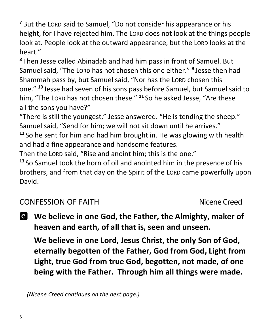**<sup>7</sup>** But the LORD said to Samuel, "Do not consider his appearance or his height, for I have rejected him. The LORD does not look at the things people look at. People look at the outward appearance, but the LORD looks at the heart."

**<sup>8</sup>** Then Jesse called Abinadab and had him pass in front of Samuel. But Samuel said, "The LORD has not chosen this one either." **<sup>9</sup>** Jesse then had Shammah pass by, but Samuel said, "Nor has the LORD chosen this one." **<sup>10</sup>** Jesse had seven of his sons pass before Samuel, but Samuel said to him, "The LORD has not chosen these." **<sup>11</sup>** So he asked Jesse, "Are these all the sons you have?"

"There is still the youngest," Jesse answered. "He is tending the sheep." Samuel said, "Send for him; we will not sit down until he arrives." **<sup>12</sup>** So he sent for him and had him brought in. He was glowing with health and had a fine appearance and handsome features.

Then the LORD said, "Rise and anoint him; this is the one."

**<sup>13</sup>** So Samuel took the horn of oil and anointed him in the presence of his brothers, and from that day on the Spirit of the LORD came powerfully upon David.

#### CONFESSION OF FAITH Nicene Creed

**We believe in one God, the Father, the Almighty, maker of heaven and earth, of all that is, seen and unseen.**

**We believe in one Lord, Jesus Christ, the only Son of God, eternally begotten of the Father, God from God, Light from Light, true God from true God, begotten, not made, of one being with the Father. Through him all things were made.** 

 *(Nicene Creed continues on the next page.)*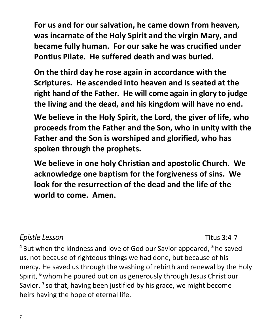**For us and for our salvation, he came down from heaven, was incarnate of the Holy Spirit and the virgin Mary, and became fully human. For our sake he was crucified under Pontius Pilate. He suffered death and was buried.** 

**On the third day he rose again in accordance with the Scriptures. He ascended into heaven and is seated at the right hand of the Father. He will come again in glory to judge the living and the dead, and his kingdom will have no end.**

**We believe in the Holy Spirit, the Lord, the giver of life, who proceeds from the Father and the Son, who in unity with the Father and the Son is worshiped and glorified, who has spoken through the prophets.** 

**We believe in one holy Christian and apostolic Church. We acknowledge one baptism for the forgiveness of sins. We look for the resurrection of the dead and the life of the world to come. Amen.**

#### *Epistle Lesson* **Titus 3:4-7**

**<sup>4</sup>** But when the kindness and love of God our Savior appeared, **<sup>5</sup>** he saved us, not because of righteous things we had done, but because of his mercy. He saved us through the washing of rebirth and renewal by the Holy Spirit, **<sup>6</sup>** whom he poured out on us generously through Jesus Christ our Savior, **<sup>7</sup>** so that, having been justified by his grace, we might become heirs having the hope of eternal life.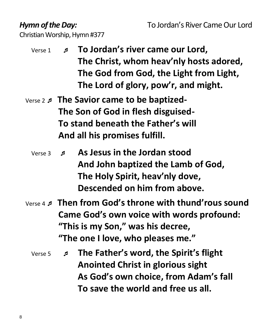Christian Worship, Hymn #377

- Verse 1 **To Jordan's river came our Lord, The Christ, whom heav'nly hosts adored, The God from God, the Light from Light, The Lord of glory, pow'r, and might.**
- Verse 2  **The Savior came to be baptized-The Son of God in flesh disguised-To stand beneath the Father's will And all his promises fulfill.**
	- Verse 3 **As Jesus in the Jordan stood And John baptized the Lamb of God, The Holy Spirit, heav'nly dove, Descended on him from above.**
- Verse <sup>4</sup>  **Then from God's throne with thund'rous sound Came God's own voice with words profound: "This is my Son," was his decree, "The one I love, who pleases me."**
	- Verse 5 **The Father's word, the Spirit's flight Anointed Christ in glorious sight As God's own choice, from Adam's fall To save the world and free us all.**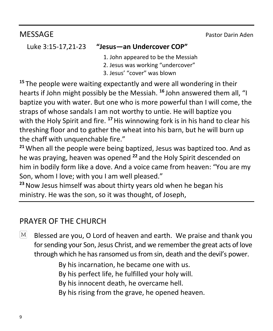MESSAGE Pastor Darin Aden

#### Luke 3:15-17,21-23 **"Jesus—an Undercover COP"**

1. John appeared to be the Messiah

2. Jesus was working "undercover"

3. Jesus' "cover" was blown

**<sup>15</sup>** The people were waiting expectantly and were all wondering in their hearts if John might possibly be the Messiah. **<sup>16</sup>** John answered them all, "I baptize you with water. But one who is more powerful than I will come, the straps of whose sandals I am not worthy to untie. He will baptize you with the Holy Spirit and fire. <sup>17</sup> His winnowing fork is in his hand to clear his threshing floor and to gather the wheat into his barn, but he will burn up the chaff with unquenchable fire."

**<sup>21</sup>**When all the people were being baptized, Jesus was baptized too. And as he was praying, heaven was opened **<sup>22</sup>** and the Holy Spirit descended on him in bodily form like a dove. And a voice came from heaven: "You are my Son, whom I love; with you I am well pleased."

**<sup>23</sup>**Now Jesus himself was about thirty years old when he began his ministry. He was the son, so it was thought, of Joseph,

# PRAYER OF THE CHURCH

 $\mathbf{M}$ Blessed are you, O Lord of heaven and earth. We praise and thank you for sending your Son, Jesus Christ, and we remember the great acts of love through which he has ransomed us from sin, death and the devil's power.

By his incarnation, he became one with us.

By his perfect life, he fulfilled your holy will.

By his innocent death, he overcame hell.

By his rising from the grave, he opened heaven.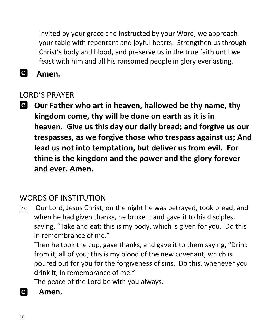Invited by your grace and instructed by your Word, we approach your table with repentant and joyful hearts. Strengthen us through Christ's body and blood, and preserve us in the true faith until we feast with him and all his ransomed people in glory everlasting.

 $\overline{c}$ **Amen.**

### LORD'S PRAYER

**Our Father who art in heaven, hallowed be thy name, thy kingdom come, thy will be done on earth as it is in heaven. Give us this day our daily bread; and forgive us our trespasses, as we forgive those who trespass against us; And lead us not into temptation, but deliver us from evil. For thine is the kingdom and the power and the glory forever and ever. Amen.**

#### WORDS OF INSTITUTION

Our Lord, Jesus Christ, on the night he was betrayed, took bread; and  $\lceil \mathbf{M} \rceil$ when he had given thanks, he broke it and gave it to his disciples, saying, "Take and eat; this is my body, which is given for you. Do this in remembrance of me."

Then he took the cup, gave thanks, and gave it to them saying, "Drink from it, all of you; this is my blood of the new covenant, which is poured out for you for the forgiveness of sins. Do this, whenever you drink it, in remembrance of me."

The peace of the Lord be with you always.

 $\mathbf{c}$ **Amen.**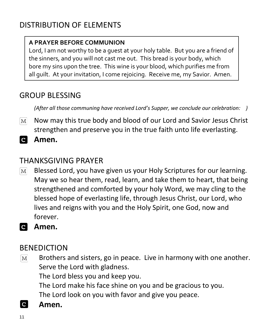#### **A PRAYER BEFORE COMMUNION**

Lord, I am not worthy to be a guest at your holy table. But you are a friend of the sinners, and you will not cast me out. This bread is your body, which bore my sins upon the tree. This wine is your blood, which purifies me from all guilt. At your invitation, I come rejoicing. Receive me, my Savior. Amen.

## GROUP BLESSING

*(After all those communing have received Lord's Supper, we conclude our celebration: )*

- Now may this true body and blood of our Lord and Savior Jesus Christ  $M<sup>2</sup>$ strengthen and preserve you in the true faith unto life everlasting.
- **C Amen.**

## THANKSGIVING PRAYER

- Blessed Lord, you have given us your Holy Scriptures for our learning.  $\boxed{\text{M}}$ May we so hear them, read, learn, and take them to heart, that being strengthened and comforted by your holy Word, we may cling to the blessed hope of everlasting life, through Jesus Christ, our Lord, who lives and reigns with you and the Holy Spirit, one God, now and forever.
- $\mathbf{C}$ **Amen.**

### BENEDICTION

Brothers and sisters, go in peace. Live in harmony with one another.  $|M|$ Serve the Lord with gladness.

The Lord bless you and keep you.

The Lord make his face shine on you and be gracious to you.

The Lord look on you with favor and give you peace.

 $\mathbf{C}$ **Amen.**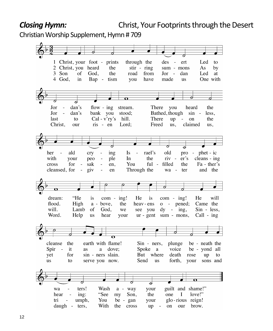*Closing Hymn:* Christ, Your Footprints through the Desert

Christian Worship Supplement, Hymn # 709

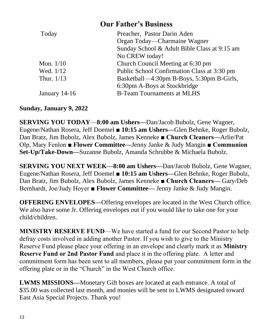#### **Our Father's Business**

| Today         | Preacher, Pastor Darin Aden                  |
|---------------|----------------------------------------------|
|               | Organ Today—Charmaine Wagner                 |
|               | Sunday School & Adult Bible Class at 9:15 am |
|               | No CREW today!                               |
| Mon. $1/10$   | Church Council Meeting at 6:30 pm            |
| Wed. 1/12     | Public School Confirmation Class at 3:30 pm  |
| Thur. $1/13$  | Basketball—4:30pm B-Boys, 5:30pm B-Girls,    |
|               | 6:30pm A-Boys at Stockbridge                 |
| January 14-16 | <b>B-Team Tournaments at MLHS</b>            |

#### **Sunday, January 9, 2022**

**SERVING YOU TODAY**—**8:00 am Ushers—**Dan/Jacob Bubolz, Gene Wagner, Eugene/Nathan Rosera, Jeff Doemel ■ **10:15 am Ushers—**Glen Behnke, Roger Bubolz, Dan Bratz, Jim Bubolz, Alex Bubolz, James Kenneke **■ Church Cleaners—**Arlie/Pat Olp, Mary Fenlon ■ **Flower Committee—**Jenny Janke & Judy Mangin **■ Communion Set-Up/Take-Down—**Suzanne Bubolz, Amanda Schrubbe & Michaela Bubolz.

**SERVING YOU NEXT WEEK—8:00 am Ushers—**Dan/Jacob Bubolz, Gene Wagner, Eugene/Nathan Rosera, Jeff Doemel ■ **10:15 am Ushers—**Glen Behnke, Roger Bubolz, Dan Bratz, Jim Bubolz, Alex Bubolz, James Kenneke **■ Church Cleaners—** Gary/Deb Bernhardt, Joe/Judy Hoyer ■ **Flower Committee—** Jenny Janke & Judy Mangin.

**OFFERING ENVELOPES—**Offering envelopes are located in the West Church office. We also have some Jr. Offering envelopes out if you would like to take one for your child/children.

**MINISTRY RESERVE FUND**—We have started a fund for our Second Pastor to help defray costs involved in adding another Pastor. If you wish to give to the Ministry Reserve Fund please place your offering in an envelope and clearly mark it as **Ministry Reserve Fund or 2nd Pastor Fund** and place it in the offering plate. A letter and commitment form has been sent to all members, please put your commitment form in the offering plate or in the "Church" in the West Church office.

**LWMS MISSIONS—**Monetary Gift boxes are located at each entrance. A total of \$35.00 was collected last month, and monies will be sent to LWMS designated toward East Asia Special Projects. Thank you!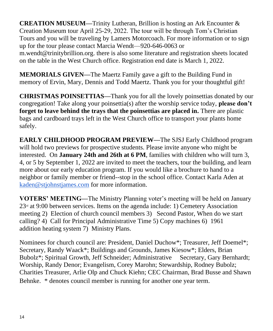**CREATION MUSEUM—**Trinity Lutheran, Brillion is hosting an Ark Encounter & Creation Museum tour April 25-29, 2022. The tour will be through Tom's Christian Tours and you will be traveling by Lamers Motorcoach. For more information or to sign up for the tour please contact Marcia Wendt—920-646-0063 or m.wendt@trinitybrillion.org. there is also some literature and registration sheets located on the table in the West Church office. Registration end date is March 1, 2022.

**MEMORIALS GIVEN—**The Maertz Family gave a gift to the Building Fund in memory of Ervin, Mary, Dennis and Todd Maertz. Thank you for your thoughtful gift!

**CHRISTMAS POINSETTIAS—**Thank you for all the lovely poinsettias donated by our congregation! Take along your poinsettia(s) after the worship service today, **please don't forget to leave behind the trays that the poinsettias are placed in.** There are plastic bags and cardboard trays left in the West Church office to transport your plants home safely.

**EARLY CHILDHOOD PROGRAM PREVIEW—**The SJSJ Early Childhood program will hold two previews for prospective students. Please invite anyone who might be interested. On **January 24th and 26th at 6 PM**, families with children who will turn 3, 4, or 5 by September 1, 2022 are invited to meet the teachers, tour the building, and learn more about our early education program. If you would like a brochure to hand to a neighbor or family member or friend--stop in the school office. Contact Karla Aden at [kaden@stjohnstjames.com](mailto:kaden@stjohnstjames.com) for more information.

**VOTERS' MEETING—**The Ministry Planning voter's meeting will be held on January  $23<sup>d</sup>$  at 9:00 between services. Items on the agenda include: 1) Cemetery Association meeting 2) Election of church council members 3) Second Pastor, When do we start calling? 4) Call for Principal Administrative Time 5) Copy machines 6) 1961 addition heating system 7) Ministry Plans.

Nominees for church council are: President, Daniel Duchow\*; Treasurer, Jeff Doemel\*; Secretary, Randy Waack\*; Buildings and Grounds, James Kiesow\*; Elders, Brian Bubolz\*; Spiritual Growth, Jeff Schneider; Administrative Secretary, Gary Bernhardt; Worship, Randy Denor; Evangelism, Corey Marohn; Stewardship, Rodney Bubolz; Charities Treasurer, Arlie Olp and Chuck Kiehn; CEC Chairman, Brad Busse and Shawn Behnke. \* denotes council member is running for another one year term.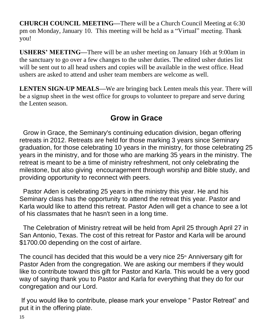**CHURCH COUNCIL MEETING—**There will be a Church Council Meeting at 6:30 pm on Monday, January 10. This meeting will be held as a "Virtual" meeting. Thank you!

**USHERS' MEETING—**There will be an usher meeting on January 16th at 9:00am in the sanctuary to go over a few changes to the usher duties. The edited usher duties list will be sent out to all head ushers and copies will be available in the west office. Head ushers are asked to attend and usher team members are welcome as well.

**LENTEN SIGN-UP MEALS—**We are bringing back Lenten meals this year. There will be a signup sheet in the west office for groups to volunteer to prepare and serve during the Lenten season.

## **Grow in Grace**

 Grow in Grace, the Seminary's continuing education division, began offering retreats in 2012. Retreats are held for those marking 3 years since Seminary graduation, for those celebrating 10 years in the ministry, for those celebrating 25 years in the ministry, and for those who are marking 35 years in the ministry. The retreat is meant to be a time of ministry refreshment, not only celebrating the milestone, but also giving encouragement through worship and Bible study, and providing opportunity to reconnect with peers.

 Pastor Aden is celebrating 25 years in the ministry this year. He and his Seminary class has the opportunity to attend the retreat this year. Pastor and Karla would like to attend this retreat. Pastor Aden will get a chance to see a lot of his classmates that he hasn't seen in a long time.

 The Celebration of Ministry retreat will be held from April 25 through April 27 in San Antonio, Texas. The cost of this retreat for Pastor and Karla will be around \$1700.00 depending on the cost of airfare.

The council has decided that this would be a very nice  $25<sup>th</sup>$  Anniversary gift for Pastor Aden from the congregation. We are asking our members if they would like to contribute toward this gift for Pastor and Karla. This would be a very good way of saying thank you to Pastor and Karla for everything that they do for our congregation and our Lord.

If you would like to contribute, please mark your envelope " Pastor Retreat" and put it in the offering plate.